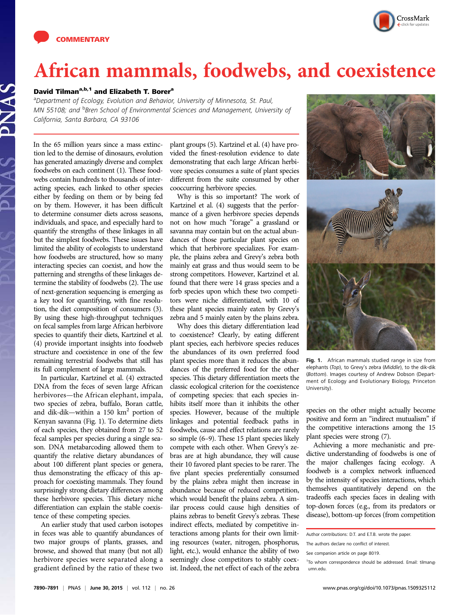



## African mammals, foodwebs, and coexistence

## David Tilman<sup>a,b,1</sup> and Elizabeth T. Borer<sup>a</sup>

<sup>a</sup>Department of Ecology, Evolution and Behavior, University of Minnesota, St. Paul, MN 55108; and <sup>b</sup>Bren School of Environmental Sciences and Management, University of California, Santa Barbara, CA 93106

In the 65 million years since a mass extinction led to the demise of dinosaurs, evolution has generated amazingly diverse and complex foodwebs on each continent (1). These foodwebs contain hundreds to thousands of interacting species, each linked to other species either by feeding on them or by being fed on by them. However, it has been difficult to determine consumer diets across seasons, individuals, and space, and especially hard to quantify the strengths of these linkages in all but the simplest foodwebs. These issues have limited the ability of ecologists to understand how foodwebs are structured, how so many interacting species can coexist, and how the patterning and strengths of these linkages determine the stability of foodwebs (2). The use of next-generation sequencing is emerging as a key tool for quantifying, with fine resolution, the diet composition of consumers (3). By using these high-throughput techniques on fecal samples from large African herbivore species to quantify their diets, Kartzinel et al. (4) provide important insights into foodweb structure and coexistence in one of the few remaining terrestrial foodwebs that still has its full complement of large mammals.

In particular, Kartzinel et al. (4) extracted DNA from the feces of seven large African herbivores—the African elephant, impala, two species of zebra, buffalo, Boran cattle, and dik-dik—within a 150  $km<sup>2</sup>$  portion of Kenyan savanna (Fig. 1). To determine diets of each species, they obtained from 27 to 52 fecal samples per species during a single season. DNA metabarcoding allowed them to quantify the relative dietary abundances of about 100 different plant species or genera, thus demonstrating the efficacy of this approach for coexisting mammals. They found surprisingly strong dietary differences among these herbivore species. This dietary niche differentiation can explain the stable coexistence of these competing species.

An earlier study that used carbon isotopes in feces was able to quantify abundances of two major groups of plants, grasses, and browse, and showed that many (but not all) herbivore species were separated along a gradient defined by the ratio of these two

plant groups (5). Kartzinel et al. (4) have provided the finest-resolution evidence to date demonstrating that each large African herbivore species consumes a suite of plant species different from the suite consumed by other cooccurring herbivore species.

Why is this so important? The work of Kartzinel et al. (4) suggests that the performance of a given herbivore species depends not on how much "forage" a grassland or savanna may contain but on the actual abundances of those particular plant species on which that herbivore specializes. For example, the plains zebra and Grevy's zebra both mainly eat grass and thus would seem to be strong competitors. However, Kartzinel et al. found that there were 14 grass species and a forb species upon which these two competitors were niche differentiated, with 10 of these plant species mainly eaten by Grevy's zebra and 5 mainly eaten by the plains zebra.

Why does this dietary differentiation lead to coexistence? Clearly, by eating different plant species, each herbivore species reduces the abundances of its own preferred food plant species more than it reduces the abundances of the preferred food for the other species. This dietary differentiation meets the classic ecological criterion for the coexistence of competing species: that each species inhibits itself more than it inhibits the other species. However, because of the multiple linkages and potential feedback paths in foodwebs, cause and effect relations are rarely so simple (6–9). These 15 plant species likely compete with each other. When Grevy's zebras are at high abundance, they will cause their 10 favored plant species to be rarer. The five plant species preferentially consumed by the plains zebra might then increase in abundance because of reduced competition, which would benefit the plains zebra. A similar process could cause high densities of plains zebras to benefit Grevy's zebras. These indirect effects, mediated by competitive interactions among plants for their own limiting resources (water, nitrogen, phosphorus, light, etc.), would enhance the ability of two seemingly close competitors to stably coexist. Indeed, the net effect of each of the zebra



Fig. 1. African mammals studied range in size from elephants (Top), to Grevy's zebra (Middle), to the dik-dik (Bottom). Images courtesy of Andrew Dobson (Department of Ecology and Evolutionary Biology, Princeton University).

species on the other might actually become positive and form an "indirect mutualism" if the competitive interactions among the 15 plant species were strong (7).

Achieving a more mechanistic and predictive understanding of foodwebs is one of the major challenges facing ecology. A foodweb is a complex network influenced by the intensity of species interactions, which themselves quantitatively depend on the tradeoffs each species faces in dealing with top-down forces (e.g., from its predators or disease), bottom-up forces (from competition

Author contributions: D.T. and E.T.B. wrote the paper.

The authors declare no conflict of interest.

See companion article on page 8019.

<sup>&</sup>lt;sup>1</sup>To whom correspondence should be addressed. Email: [tilman@](mailto:tilman@umn.edu) [umn.edu](mailto:tilman@umn.edu).